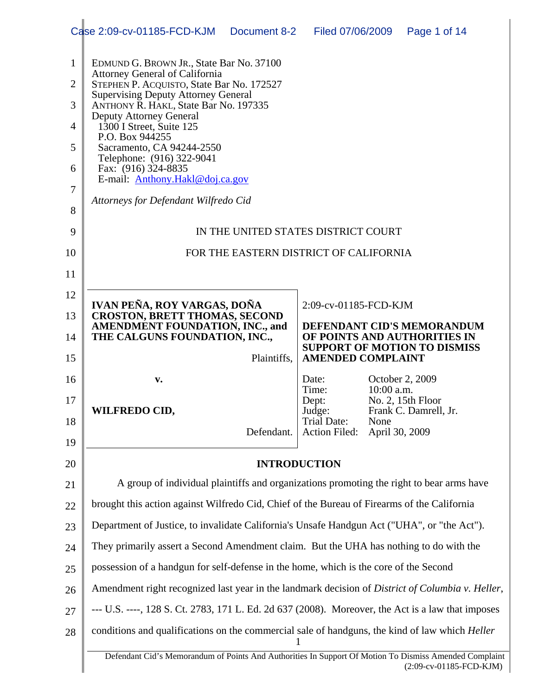|                | Case 2:09-cv-01185-FCD-KJM                                                                             | Document 8-2                           | Filed 07/06/2009                    |                               | Page 1 of 14                                                        |  |  |
|----------------|--------------------------------------------------------------------------------------------------------|----------------------------------------|-------------------------------------|-------------------------------|---------------------------------------------------------------------|--|--|
| $\mathbf{1}$   | EDMUND G. BROWN JR., State Bar No. 37100                                                               |                                        |                                     |                               |                                                                     |  |  |
| $\overline{2}$ | <b>Attorney General of California</b><br>STEPHEN P. ACQUISTO, State Bar No. 172527                     |                                        |                                     |                               |                                                                     |  |  |
| 3              | <b>Supervising Deputy Attorney General</b><br>ANTHONY R. HAKL, State Bar No. 197335                    |                                        |                                     |                               |                                                                     |  |  |
| 4              | <b>Deputy Attorney General</b><br>1300 I Street, Suite 125                                             |                                        |                                     |                               |                                                                     |  |  |
| 5              | P.O. Box 944255<br>Sacramento, CA 94244-2550                                                           |                                        |                                     |                               |                                                                     |  |  |
| 6              | Telephone: (916) 322-9041<br>Fax: (916) 324-8835                                                       |                                        |                                     |                               |                                                                     |  |  |
| 7              | E-mail: Anthony.Hakl@doj.ca.gov                                                                        |                                        |                                     |                               |                                                                     |  |  |
| 8              | Attorneys for Defendant Wilfredo Cid                                                                   |                                        |                                     |                               |                                                                     |  |  |
| 9              |                                                                                                        | IN THE UNITED STATES DISTRICT COURT    |                                     |                               |                                                                     |  |  |
| 10             |                                                                                                        | FOR THE EASTERN DISTRICT OF CALIFORNIA |                                     |                               |                                                                     |  |  |
| 11             |                                                                                                        |                                        |                                     |                               |                                                                     |  |  |
| 12             | IVAN PEÑA, ROY VARGAS, DOÑA                                                                            |                                        | 2:09-cv-01185-FCD-KJM               |                               |                                                                     |  |  |
| 13             | <b>CROSTON, BRETT THOMAS, SECOND</b><br><b>AMENDMENT FOUNDATION, INC., and</b>                         |                                        |                                     |                               | DEFENDANT CID'S MEMORANDUM                                          |  |  |
| 14             | THE CALGUNS FOUNDATION, INC.,                                                                          |                                        |                                     |                               | OF POINTS AND AUTHORITIES IN<br><b>SUPPORT OF MOTION TO DISMISS</b> |  |  |
| 15             |                                                                                                        | Plaintiffs,                            | <b>AMENDED COMPLAINT</b>            |                               |                                                                     |  |  |
| 16             | v.                                                                                                     |                                        | Date:<br>Time:                      | October 2, 2009<br>10:00 a.m. |                                                                     |  |  |
| 17             | <b>WILFREDO CID,</b>                                                                                   |                                        | Dept:<br>Judge:                     |                               | No. 2, 15th Floor<br>Frank C. Damrell, Jr.                          |  |  |
| 18             |                                                                                                        | Defendant.                             | <b>Trial Date:</b><br>Action Filed: | None<br>April 30, 2009        |                                                                     |  |  |
| 19             |                                                                                                        |                                        |                                     |                               |                                                                     |  |  |
| 20             |                                                                                                        |                                        | <b>INTRODUCTION</b>                 |                               |                                                                     |  |  |
| 21             | A group of individual plaintiffs and organizations promoting the right to bear arms have               |                                        |                                     |                               |                                                                     |  |  |
| 22             | brought this action against Wilfredo Cid, Chief of the Bureau of Firearms of the California            |                                        |                                     |                               |                                                                     |  |  |
| 23             | Department of Justice, to invalidate California's Unsafe Handgun Act ("UHA", or "the Act").            |                                        |                                     |                               |                                                                     |  |  |
| 24             | They primarily assert a Second Amendment claim. But the UHA has nothing to do with the                 |                                        |                                     |                               |                                                                     |  |  |
| 25             | possession of a handgun for self-defense in the home, which is the core of the Second                  |                                        |                                     |                               |                                                                     |  |  |
| 26             | Amendment right recognized last year in the landmark decision of District of Columbia v. Heller,       |                                        |                                     |                               |                                                                     |  |  |
| 27             | --- U.S. ----, 128 S. Ct. 2783, 171 L. Ed. 2d 637 (2008). Moreover, the Act is a law that imposes      |                                        |                                     |                               |                                                                     |  |  |
| 28             | conditions and qualifications on the commercial sale of handguns, the kind of law which Heller<br>1    |                                        |                                     |                               |                                                                     |  |  |
|                | Defendant Cid's Memorandum of Points And Authorities In Support Of Motion To Dismiss Amended Complaint |                                        |                                     |                               | (2:09-cv-01185-FCD-KJM)                                             |  |  |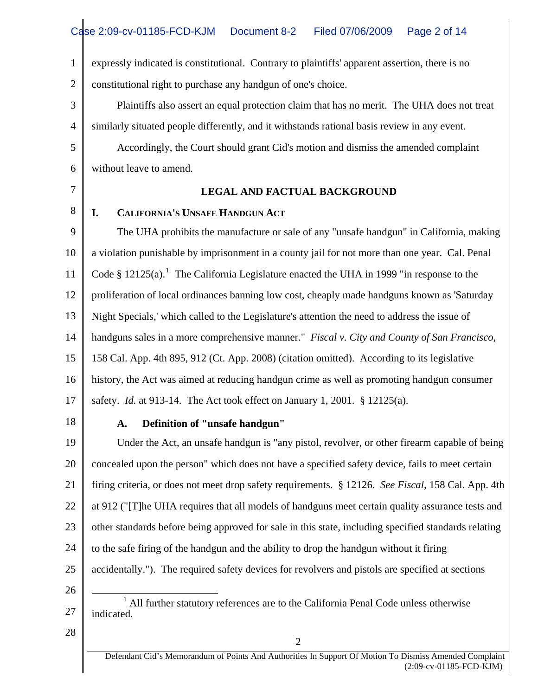1 2 expressly indicated is constitutional. Contrary to plaintiffs' apparent assertion, there is no constitutional right to purchase any handgun of one's choice.

3 4 Plaintiffs also assert an equal protection claim that has no merit. The UHA does not treat similarly situated people differently, and it withstands rational basis review in any event.

5 6 Accordingly, the Court should grant Cid's motion and dismiss the amended complaint without leave to amend.

7

8

#### **LEGAL AND FACTUAL BACKGROUND**

### **I. CALIFORNIA'S UNSAFE HANDGUN ACT**

9 10 11 12 13 14 15 16 17 The UHA prohibits the manufacture or sale of any "unsafe handgun" in California, making a violation punishable by imprisonment in a county jail for not more than one year. Cal. Penal Code § [1](#page-1-0)2125(a).<sup>1</sup> The California Legislature enacted the UHA in 1999 "in response to the proliferation of local ordinances banning low cost, cheaply made handguns known as 'Saturday Night Specials,' which called to the Legislature's attention the need to address the issue of handguns sales in a more comprehensive manner." *Fiscal v. City and County of San Francisco*, 158 Cal. App. 4th 895, 912 (Ct. App. 2008) (citation omitted). According to its legislative history, the Act was aimed at reducing handgun crime as well as promoting handgun consumer safety. *Id.* at 913-14. The Act took effect on January 1, 2001. § 12125(a).

18

## **A. Definition of "unsafe handgun"**

19 20 21 22 23 24 25 26  $\overline{a}$ Under the Act, an unsafe handgun is "any pistol, revolver, or other firearm capable of being concealed upon the person" which does not have a specified safety device, fails to meet certain firing criteria, or does not meet drop safety requirements. § 12126. *See Fiscal,* 158 Cal. App. 4th at 912 ("[T]he UHA requires that all models of handguns meet certain quality assurance tests and other standards before being approved for sale in this state, including specified standards relating to the safe firing of the handgun and the ability to drop the handgun without it firing accidentally."). The required safety devices for revolvers and pistols are specified at sections

<span id="page-1-0"></span>27 <sup>1</sup> All further statutory references are to the California Penal Code unless otherwise indicated.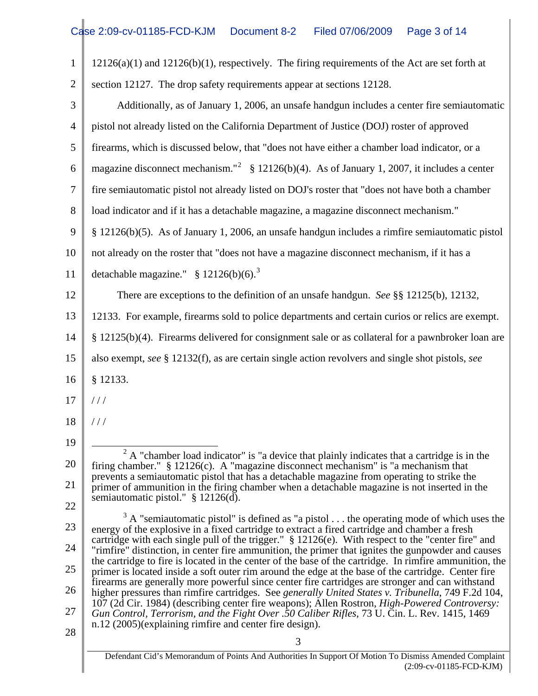| $\mathbf{1}$   | $12126(a)(1)$ and $12126(b)(1)$ , respectively. The firing requirements of the Act are set forth at                                                                                                            |
|----------------|----------------------------------------------------------------------------------------------------------------------------------------------------------------------------------------------------------------|
| $\overline{2}$ | section 12127. The drop safety requirements appear at sections 12128.                                                                                                                                          |
| 3              | Additionally, as of January 1, 2006, an unsafe handgun includes a center fire semiautomatic                                                                                                                    |
| $\overline{4}$ | pistol not already listed on the California Department of Justice (DOJ) roster of approved                                                                                                                     |
| 5              | firearms, which is discussed below, that "does not have either a chamber load indicator, or a                                                                                                                  |
| 6              | magazine disconnect mechanism." <sup>2</sup> § 12126(b)(4). As of January 1, 2007, it includes a center                                                                                                        |
| 7              | fire semiautomatic pistol not already listed on DOJ's roster that "does not have both a chamber                                                                                                                |
| 8              | load indicator and if it has a detachable magazine, a magazine disconnect mechanism."                                                                                                                          |
| 9              | § 12126(b)(5). As of January 1, 2006, an unsafe handgun includes a rimfire semiautomatic pistol                                                                                                                |
| 10             | not already on the roster that "does not have a magazine disconnect mechanism, if it has a                                                                                                                     |
| 11             | detachable magazine." $$ 12126(b)(6).$ <sup>3</sup>                                                                                                                                                            |
| 12             | There are exceptions to the definition of an unsafe handgun. See §§ 12125(b), 12132,                                                                                                                           |
| 13             | 12133. For example, firearms sold to police departments and certain curios or relics are exempt.                                                                                                               |
| 14             | § 12125(b)(4). Firearms delivered for consignment sale or as collateral for a pawnbroker loan are                                                                                                              |
| 15             | also exempt, see § 12132(f), as are certain single action revolvers and single shot pistols, see                                                                                                               |
| 16             | § 12133.                                                                                                                                                                                                       |
| 17             | 111                                                                                                                                                                                                            |
| 18             | 111                                                                                                                                                                                                            |
| 19             |                                                                                                                                                                                                                |
| 20             | $2A$ "chamber load indicator" is "a device that plainly indicates that a cartridge is in the<br>firing chamber." $\S$ 12126(c). A "magazine disconnect mechanism" is "a mechanism that                         |
| 21             | prevents a semiautomatic pistol that has a detachable magazine from operating to strike the<br>primer of ammunition in the firing chamber when a detachable magazine is not inserted in the                    |
| 22             | semiautomatic pistol." § 12126(d).                                                                                                                                                                             |
| 23             | $3 \text{ A}$ "semiautomatic pistol" is defined as "a pistol the operating mode of which uses the<br>energy of the explosive in a fixed cartridge to extract a fired cartridge and chamber a fresh             |
| 24             | cartridge with each single pull of the trigger." § 12126(e). With respect to the "center fire" and<br>"rimfire" distinction, in center fire ammunition, the primer that ignites the gunpowder and causes       |
| 25             | the cartridge to fire is located in the center of the base of the cartridge. In rimfire ammunition, the<br>primer is located inside a soft outer rim around the edge at the base of the cartridge. Center fire |
| 26             | firearms are generally more powerful since center fire cartridges are stronger and can withstand<br>higher pressures than rimfire cartridges. See generally United States v. Tribunella, 749 F.2d 104,         |
| 27             | 107 (2d Cir. 1984) (describing center fire weapons); Allen Rostron, <i>High-Powered Controversy</i> :<br>Gun Control, Terrorism, and the Fight Over .50 Caliber Rifles, 73 U. Cin. L. Rev. 1415, 1469          |
| 28             | n.12 (2005)(explaining rimfire and center fire design).<br>3                                                                                                                                                   |
|                |                                                                                                                                                                                                                |

<span id="page-2-1"></span><span id="page-2-0"></span>Defendant Cid's Memorandum of Points And Authorities In Support Of Motion To Dismiss Amended Complaint (2:09-cv-01185-FCD-KJM)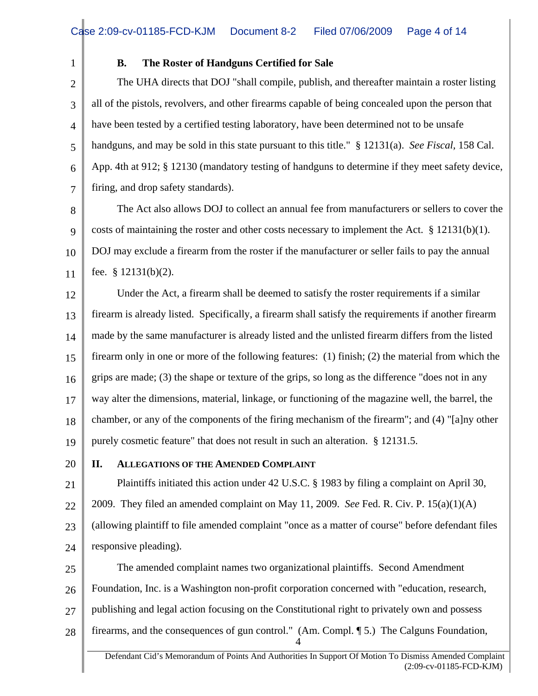1

## **B. The Roster of Handguns Certified for Sale**

2 3 4 5 6 7 The UHA directs that DOJ "shall compile, publish, and thereafter maintain a roster listing all of the pistols, revolvers, and other firearms capable of being concealed upon the person that have been tested by a certified testing laboratory, have been determined not to be unsafe handguns, and may be sold in this state pursuant to this title." § 12131(a). *See Fiscal,* 158 Cal. App. 4th at 912; § 12130 (mandatory testing of handguns to determine if they meet safety device, firing, and drop safety standards).

8 9 10 11 The Act also allows DOJ to collect an annual fee from manufacturers or sellers to cover the costs of maintaining the roster and other costs necessary to implement the Act.  $\S 12131(b)(1)$ . DOJ may exclude a firearm from the roster if the manufacturer or seller fails to pay the annual fee. § 12131(b)(2).

12 13 14 15 16 17 18 19 Under the Act, a firearm shall be deemed to satisfy the roster requirements if a similar firearm is already listed. Specifically, a firearm shall satisfy the requirements if another firearm made by the same manufacturer is already listed and the unlisted firearm differs from the listed firearm only in one or more of the following features: (1) finish; (2) the material from which the grips are made; (3) the shape or texture of the grips, so long as the difference "does not in any way alter the dimensions, material, linkage, or functioning of the magazine well, the barrel, the chamber, or any of the components of the firing mechanism of the firearm"; and (4) "[a]ny other purely cosmetic feature" that does not result in such an alteration. § 12131.5.

20

# **II. ALLEGATIONS OF THE AMENDED COMPLAINT**

21 22 23 24 Plaintiffs initiated this action under 42 U.S.C. § 1983 by filing a complaint on April 30, 2009. They filed an amended complaint on May 11, 2009. *See* Fed. R. Civ. P. 15(a)(1)(A) (allowing plaintiff to file amended complaint "once as a matter of course" before defendant files responsive pleading).

25 26 27 28 4 The amended complaint names two organizational plaintiffs. Second Amendment Foundation, Inc. is a Washington non-profit corporation concerned with "education, research, publishing and legal action focusing on the Constitutional right to privately own and possess firearms, and the consequences of gun control." (Am. Compl. ¶ 5.) The Calguns Foundation,

Defendant Cid's Memorandum of Points And Authorities In Support Of Motion To Dismiss Amended Complaint (2:09-cv-01185-FCD-KJM)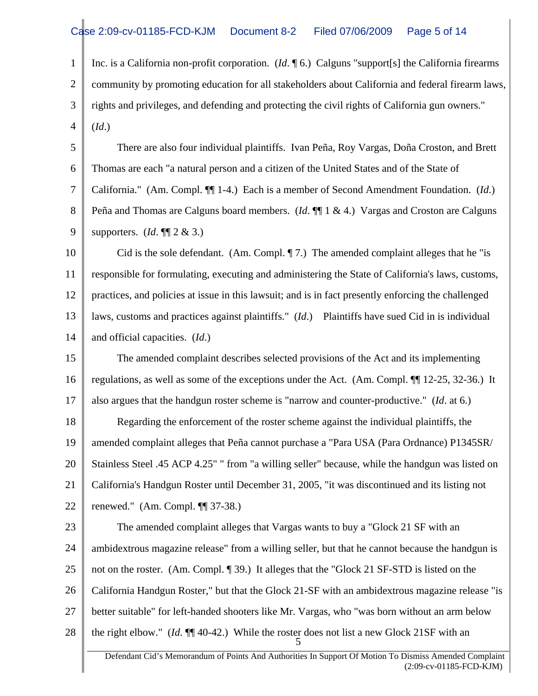1 2 3 4 Inc. is a California non-profit corporation. (*Id*. ¶ 6.) Calguns "support[s] the California firearms community by promoting education for all stakeholders about California and federal firearm laws, rights and privileges, and defending and protecting the civil rights of California gun owners." (*Id*.)

5 6 7 8 9 There are also four individual plaintiffs. Ivan Peña, Roy Vargas, Doña Croston, and Brett Thomas are each "a natural person and a citizen of the United States and of the State of California." (Am. Compl. ¶¶ 1-4.) Each is a member of Second Amendment Foundation. (*Id*.) Peña and Thomas are Calguns board members. (*Id*. ¶¶ 1 & 4.) Vargas and Croston are Calguns supporters. (*Id*. ¶¶ 2 & 3.)

10 11 12 13 14 Cid is the sole defendant. (Am. Compl.  $\P$  7.) The amended complaint alleges that he "is responsible for formulating, executing and administering the State of California's laws, customs, practices, and policies at issue in this lawsuit; and is in fact presently enforcing the challenged laws, customs and practices against plaintiffs." (*Id*.) Plaintiffs have sued Cid in is individual and official capacities. (*Id*.)

15 16 17 18 19 20 21 22 The amended complaint describes selected provisions of the Act and its implementing regulations, as well as some of the exceptions under the Act. (Am. Compl. ¶¶ 12-25, 32-36.) It also argues that the handgun roster scheme is "narrow and counter-productive." (*Id*. at 6.) Regarding the enforcement of the roster scheme against the individual plaintiffs, the amended complaint alleges that Peña cannot purchase a "Para USA (Para Ordnance) P1345SR/ Stainless Steel .45 ACP 4.25" " from "a willing seller" because, while the handgun was listed on California's Handgun Roster until December 31, 2005, "it was discontinued and its listing not renewed." (Am. Compl. ¶¶ 37-38.)

23 24 25 26 27 28 5 The amended complaint alleges that Vargas wants to buy a "Glock 21 SF with an ambidextrous magazine release" from a willing seller, but that he cannot because the handgun is not on the roster. (Am. Compl. ¶ 39.) It alleges that the "Glock 21 SF-STD is listed on the California Handgun Roster," but that the Glock 21-SF with an ambidextrous magazine release "is better suitable" for left-handed shooters like Mr. Vargas, who "was born without an arm below the right elbow." (*Id*. ¶¶ 40-42.) While the roster does not list a new Glock 21SF with an

Defendant Cid's Memorandum of Points And Authorities In Support Of Motion To Dismiss Amended Complaint (2:09-cv-01185-FCD-KJM)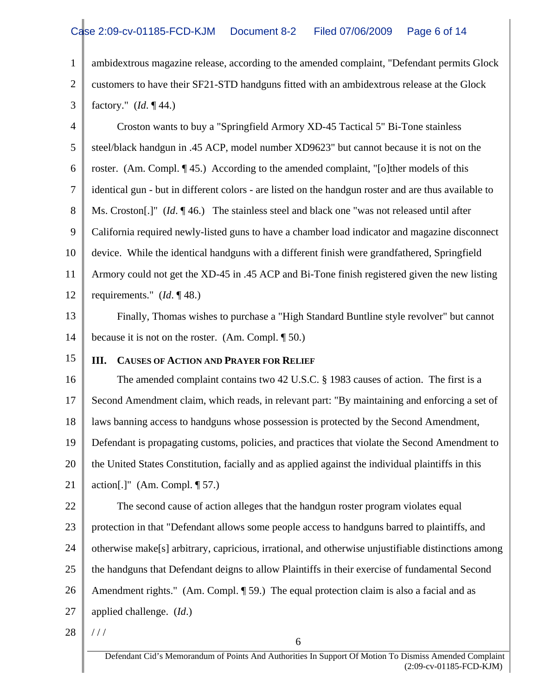1 2 3 ambidextrous magazine release, according to the amended complaint, "Defendant permits Glock customers to have their SF21-STD handguns fitted with an ambidextrous release at the Glock factory." (*Id*. ¶ 44.)

4 5 6 7 8 9 10 11 12 Croston wants to buy a "Springfield Armory XD-45 Tactical 5" Bi-Tone stainless steel/black handgun in .45 ACP, model number XD9623" but cannot because it is not on the roster. (Am. Compl. ¶ 45.) According to the amended complaint, "[o]ther models of this identical gun - but in different colors - are listed on the handgun roster and are thus available to Ms. Croston[.]" (*Id*. ¶ 46.) The stainless steel and black one "was not released until after California required newly-listed guns to have a chamber load indicator and magazine disconnect device. While the identical handguns with a different finish were grandfathered, Springfield Armory could not get the XD-45 in .45 ACP and Bi-Tone finish registered given the new listing requirements." (*Id*. ¶ 48.)

13 14 Finally, Thomas wishes to purchase a "High Standard Buntline style revolver" but cannot because it is not on the roster. (Am. Compl. ¶ 50.)

15

# **III. CAUSES OF ACTION AND PRAYER FOR RELIEF**

16 17 18 19 20 21 22 The amended complaint contains two 42 U.S.C. § 1983 causes of action. The first is a Second Amendment claim, which reads, in relevant part: "By maintaining and enforcing a set of laws banning access to handguns whose possession is protected by the Second Amendment, Defendant is propagating customs, policies, and practices that violate the Second Amendment to the United States Constitution, facially and as applied against the individual plaintiffs in this action[.]" (Am. Compl.  $\P$  57.) The second cause of action alleges that the handgun roster program violates equal

23 24 25 26 27 protection in that "Defendant allows some people access to handguns barred to plaintiffs, and otherwise make[s] arbitrary, capricious, irrational, and otherwise unjustifiable distinctions among the handguns that Defendant deigns to allow Plaintiffs in their exercise of fundamental Second Amendment rights." (Am. Compl. ¶ 59.) The equal protection claim is also a facial and as applied challenge. (*Id*.)

28 / / /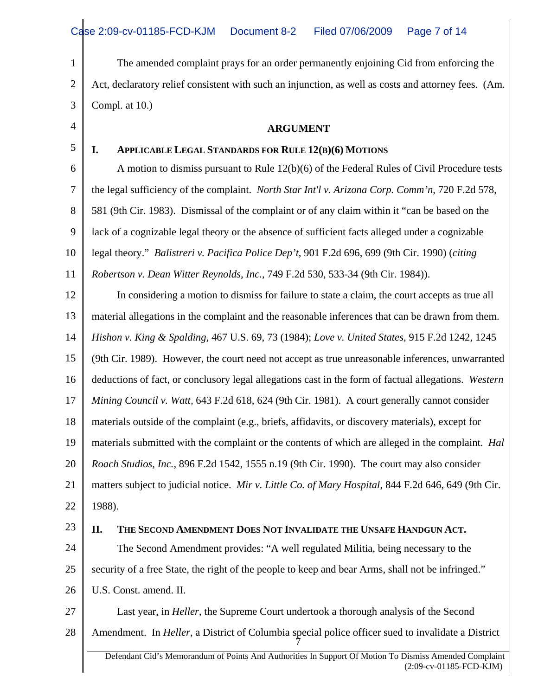1 2 3 The amended complaint prays for an order permanently enjoining Cid from enforcing the Act, declaratory relief consistent with such an injunction, as well as costs and attorney fees. (Am. Compl. at 10.)

4 5

**ARGUMENT** 

### **I. APPLICABLE LEGAL STANDARDS FOR RULE 12(B)(6) MOTIONS**

6 7 8 9 10 11 A motion to dismiss pursuant to Rule 12(b)(6) of the Federal Rules of Civil Procedure tests the legal sufficiency of the complaint. *North Star Int'l v. Arizona Corp. Comm'n*, 720 F.2d 578, 581 (9th Cir. 1983). Dismissal of the complaint or of any claim within it "can be based on the lack of a cognizable legal theory or the absence of sufficient facts alleged under a cognizable legal theory." *Balistreri v. Pacifica Police Dep't*, 901 F.2d 696, 699 (9th Cir. 1990) (*citing Robertson v. Dean Witter Reynolds, Inc.*, 749 F.2d 530, 533-34 (9th Cir. 1984)).

12 13 14 15 16 17 18 19 20 21 22 In considering a motion to dismiss for failure to state a claim, the court accepts as true all material allegations in the complaint and the reasonable inferences that can be drawn from them. *Hishon v. King & Spalding*, 467 U.S. 69, 73 (1984); *Love v. United States*, 915 F.2d 1242, 1245 (9th Cir. 1989). However, the court need not accept as true unreasonable inferences, unwarranted deductions of fact, or conclusory legal allegations cast in the form of factual allegations. *Western Mining Council v. Watt*, 643 F.2d 618, 624 (9th Cir. 1981). A court generally cannot consider materials outside of the complaint (e.g., briefs, affidavits, or discovery materials), except for materials submitted with the complaint or the contents of which are alleged in the complaint. *Hal Roach Studios, Inc.*, 896 F.2d 1542, 1555 n.19 (9th Cir. 1990). The court may also consider matters subject to judicial notice. *Mir v. Little Co. of Mary Hospital*, 844 F.2d 646, 649 (9th Cir. 1988).

23

### **II. THE SECOND AMENDMENT DOES NOT INVALIDATE THE UNSAFE HANDGUN ACT.**

24 25 The Second Amendment provides: "A well regulated Militia, being necessary to the security of a free State, the right of the people to keep and bear Arms, shall not be infringed."

26 U.S. Const. amend. II.

27 28 Last year, in *Heller*, the Supreme Court undertook a thorough analysis of the Second Amendment. In *Heller*, a District of Columbia special police officer sued to invalidate a District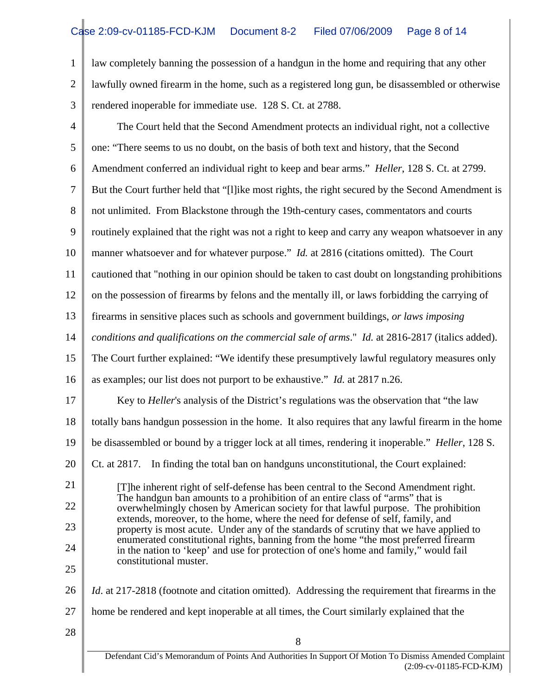1 2 3 law completely banning the possession of a handgun in the home and requiring that any other lawfully owned firearm in the home, such as a registered long gun, be disassembled or otherwise rendered inoperable for immediate use. 128 S. Ct. at 2788.

| $\overline{4}$               | The Court held that the Second Amendment protects an individual right, not a collective                                                                                      |
|------------------------------|------------------------------------------------------------------------------------------------------------------------------------------------------------------------------|
| 5                            | one: "There seems to us no doubt, on the basis of both text and history, that the Second                                                                                     |
| 6                            | Amendment conferred an individual right to keep and bear arms." <i>Heller</i> , 128 S. Ct. at 2799.                                                                          |
| 7                            | But the Court further held that "[I] ike most rights, the right secured by the Second Amendment is                                                                           |
| 8                            | not unlimited. From Blackstone through the 19th-century cases, commentators and courts                                                                                       |
| 9                            | routinely explained that the right was not a right to keep and carry any weapon whatsoever in any                                                                            |
| 10                           | manner whatsoever and for whatever purpose." <i>Id.</i> at 2816 (citations omitted). The Court                                                                               |
| 11                           | cautioned that "nothing in our opinion should be taken to cast doubt on longstanding prohibitions                                                                            |
| 12                           | on the possession of firearms by felons and the mentally ill, or laws forbidding the carrying of                                                                             |
| 13                           | firearms in sensitive places such as schools and government buildings, or laws imposing                                                                                      |
| 14                           | conditions and qualifications on the commercial sale of arms." Id. at 2816-2817 (italics added).                                                                             |
| 15                           | The Court further explained: "We identify these presumptively lawful regulatory measures only                                                                                |
| 16                           | as examples; our list does not purport to be exhaustive." <i>Id.</i> at 2817 n.26.                                                                                           |
| 17                           | Key to <i>Heller's</i> analysis of the District's regulations was the observation that "the law                                                                              |
| 18                           | totally bans handgun possession in the home. It also requires that any lawful firearm in the home                                                                            |
| 19                           | be disassembled or bound by a trigger lock at all times, rendering it inoperable." <i>Heller</i> , 128 S.                                                                    |
| 20                           | In finding the total ban on handguns unconstitutional, the Court explained:<br>Ct. at 2817.                                                                                  |
| 21                           | [T]he inherent right of self-defense has been central to the Second Amendment right.                                                                                         |
| 22                           | The handgun ban amounts to a prohibition of an entire class of "arms" that is<br>overwhelmingly chosen by American society for that lawful purpose. The prohibition          |
| 23                           | extends, moreover, to the home, where the need for defense of self, family, and<br>property is most acute. Under any of the standards of scrutiny that we have applied to    |
| 24                           | enumerated constitutional rights, banning from the home "the most preferred firearm"<br>in the nation to 'keep' and use for protection of one's home and family," would fail |
| constitutional muster.<br>25 |                                                                                                                                                                              |
| 26                           | Id. at 217-2818 (footnote and citation omitted). Addressing the requirement that firearms in the                                                                             |
| 27                           | home be rendered and kept inoperable at all times, the Court similarly explained that the                                                                                    |
| 28                           | 8                                                                                                                                                                            |
|                              | Defendant Cid's Memorandum of Points And Authorities In Support Of Motion To Dismiss Amended Complaint                                                                       |
|                              | (2:09-cv-01185-FCD-KJM)                                                                                                                                                      |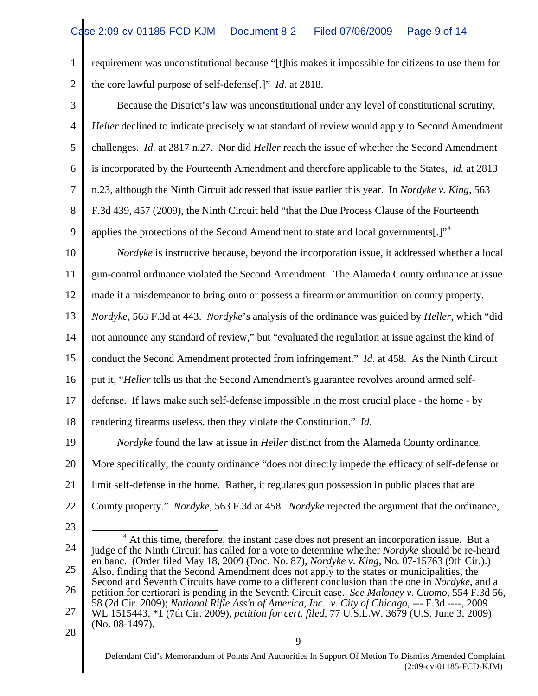1 2 requirement was unconstitutional because "[t]his makes it impossible for citizens to use them for the core lawful purpose of self-defense[.]" *Id*. at 2818.

3 4 5 6 7 8 9 Because the District's law was unconstitutional under any level of constitutional scrutiny, *Heller* declined to indicate precisely what standard of review would apply to Second Amendment challenges. *Id*. at 2817 n.27. Nor did *Heller* reach the issue of whether the Second Amendment is incorporated by the Fourteenth Amendment and therefore applicable to the States, *id.* at 2813 n.23, although the Ninth Circuit addressed that issue earlier this year. In *Nordyke v. King*, 563 F.3d 439, 457 (2009), the Ninth Circuit held "that the Due Process Clause of the Fourteenth applies the protections of the Second Amendment to state and local governments[.]"<sup>[4](#page-8-0)</sup>

10 11 *Nordyke* is instructive because, beyond the incorporation issue, it addressed whether a local gun-control ordinance violated the Second Amendment. The Alameda County ordinance at issue

12 made it a misdemeanor to bring onto or possess a firearm or ammunition on county property.

13 *Nordyke*, 563 F.3d at 443. *Nordyke*'s analysis of the ordinance was guided by *Heller*, which "did

14 not announce any standard of review," but "evaluated the regulation at issue against the kind of

15 conduct the Second Amendment protected from infringement." *Id*. at 458. As the Ninth Circuit

16 put it, "*Heller* tells us that the Second Amendment's guarantee revolves around armed self-

17 defense. If laws make such self-defense impossible in the most crucial place - the home - by

18 rendering firearms useless, then they violate the Constitution." *Id*.

19 20 21 22 *Nordyke* found the law at issue in *Heller* distinct from the Alameda County ordinance. More specifically, the county ordinance "does not directly impede the efficacy of self-defense or limit self-defense in the home. Rather, it regulates gun possession in public places that are County property." *Nordyke*, 563 F.3d at 458. *Nordyke* rejected the argument that the ordinance,

23

<span id="page-8-0"></span>24 25 26 27  $\overline{a}$  $4$  At this time, therefore, the instant case does not present an incorporation issue. But a judge of the Ninth Circuit has called for a vote to determine whether *Nordyke* should be re-heard en banc. (Order filed May 18, 2009 (Doc. No. 87), *Nordyke v. King*, No. 07-15763 (9th Cir.).) Also, finding that the Second Amendment does not apply to the states or municipalities, the Second and Seventh Circuits have come to a different conclusion than the one in *Nordyke*, and a petition for certiorari is pending in the Seventh Circuit case. *See Maloney v. Cuomo*, 554 F.3d 56, 58 (2d Cir. 2009); *National Rifle Ass'n of America, Inc. v. City of Chicago*, --- F.3d ----, 2009 WL 1515443, \*1 (7th Cir. 2009), *petition for cert. filed*, 77 U.S.L.W. 3679 (U.S. June 3, 2009) (No. 08-1497).

28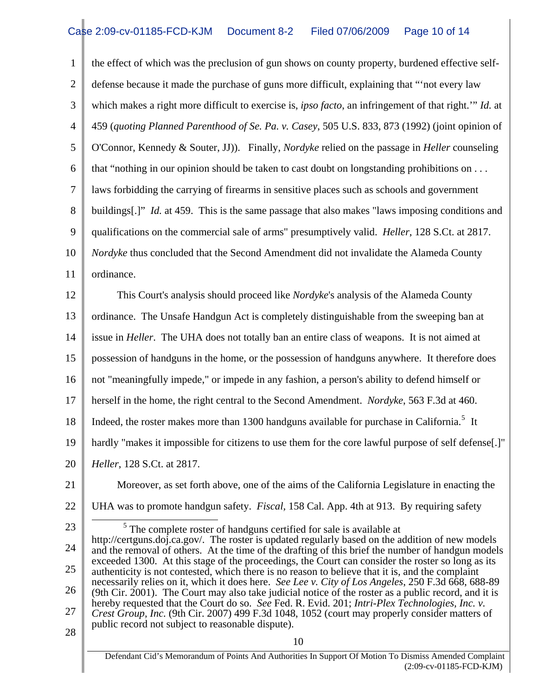1 2 3 4 5 6 7 8 9 10 11 the effect of which was the preclusion of gun shows on county property, burdened effective selfdefense because it made the purchase of guns more difficult, explaining that "'not every law which makes a right more difficult to exercise is, *ipso facto*, an infringement of that right.'" *Id.* at 459 (*quoting Planned Parenthood of Se. Pa. v. Casey*, 505 U.S. 833, 873 (1992) (joint opinion of O'Connor, Kennedy & Souter, JJ)). Finally, *Nordyke* relied on the passage in *Heller* counseling that "nothing in our opinion should be taken to cast doubt on longstanding prohibitions on . . . laws forbidding the carrying of firearms in sensitive places such as schools and government buildings[.]" *Id.* at 459. This is the same passage that also makes "laws imposing conditions and qualifications on the commercial sale of arms" presumptively valid. *Heller*, 128 S.Ct. at 2817. *Nordyke* thus concluded that the Second Amendment did not invalidate the Alameda County ordinance.

12 13 14 15 16 17 18 19 20 This Court's analysis should proceed like *Nordyke*'s analysis of the Alameda County ordinance. The Unsafe Handgun Act is completely distinguishable from the sweeping ban at issue in *Heller*. The UHA does not totally ban an entire class of weapons. It is not aimed at possession of handguns in the home, or the possession of handguns anywhere. It therefore does not "meaningfully impede," or impede in any fashion, a person's ability to defend himself or herself in the home, the right central to the Second Amendment. *Nordyke*, 563 F.3d at 460. Indeed, the roster makes more than 1300 handguns available for purchase in California.<sup>[5](#page-9-0)</sup> It hardly "makes it impossible for citizens to use them for the core lawful purpose of self defense[.]" *Heller*, 128 S.Ct. at 2817.

- 21
- 22

Moreover, as set forth above, one of the aims of the California Legislature in enacting the UHA was to promote handgun safety. *Fiscal,* 158 Cal. App. 4th at 913. By requiring safety

23

 $\overline{a}$ 

<span id="page-9-0"></span>24 25 26 27  $<sup>5</sup>$  The complete roster of handguns certified for sale is available at</sup> http://certguns.doj.ca.gov/. The roster is updated regularly based on the addition of new models and the removal of others. At the time of the drafting of this brief the number of handgun models exceeded 1300. At this stage of the proceedings, the Court can consider the roster so long as its authenticity is not contested, which there is no reason to believe that it is, and the complaint necessarily relies on it, which it does here. *See Lee v. City of Los Angeles*, 250 F.3d 668, 688-89 (9th Cir. 2001). The Court may also take judicial notice of the roster as a public record, and it is hereby requested that the Court do so. *See* Fed. R. Evid. 201; *Intri-Plex Technologies, Inc. v. Crest Group, Inc.* (9th Cir. 2007) 499 F.3d 1048, 1052 (court may properly consider matters of public record not subject to reasonable dispute).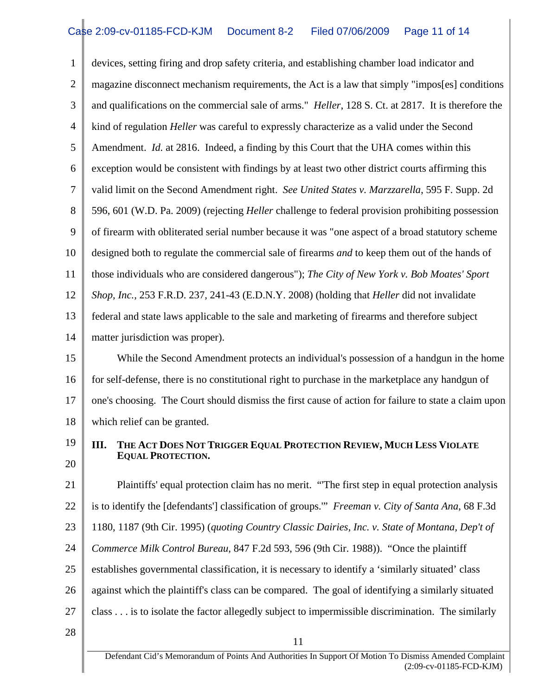1 2 3 4 5 6 7 8 9 10 11 12 13 14 15 16 17 18 19 devices, setting firing and drop safety criteria, and establishing chamber load indicator and magazine disconnect mechanism requirements, the Act is a law that simply "impos[es] conditions and qualifications on the commercial sale of arms." *Heller*, 128 S. Ct. at 2817. It is therefore the kind of regulation *Heller* was careful to expressly characterize as a valid under the Second Amendment. *Id.* at 2816. Indeed, a finding by this Court that the UHA comes within this exception would be consistent with findings by at least two other district courts affirming this valid limit on the Second Amendment right. *See United States v. Marzzarella*, 595 F. Supp. 2d 596, 601 (W.D. Pa. 2009) (rejecting *Heller* challenge to federal provision prohibiting possession of firearm with obliterated serial number because it was "one aspect of a broad statutory scheme designed both to regulate the commercial sale of firearms *and* to keep them out of the hands of those individuals who are considered dangerous"); *The City of New York v. Bob Moates' Sport Shop, Inc.*, 253 F.R.D. 237, 241-43 (E.D.N.Y. 2008) (holding that *Heller* did not invalidate federal and state laws applicable to the sale and marketing of firearms and therefore subject matter jurisdiction was proper). While the Second Amendment protects an individual's possession of a handgun in the home for self-defense, there is no constitutional right to purchase in the marketplace any handgun of one's choosing. The Court should dismiss the first cause of action for failure to state a claim upon which relief can be granted.

20

### **III. THE ACT DOES NOT TRIGGER EQUAL PROTECTION REVIEW, MUCH LESS VIOLATE EQUAL PROTECTION.**

21 22 23 24 25 26 27 Plaintiffs' equal protection claim has no merit. "'The first step in equal protection analysis is to identify the [defendants'] classification of groups.'" *Freeman v. City of Santa Ana*, 68 F.3d 1180, 1187 (9th Cir. 1995) (*quoting Country Classic Dairies, Inc. v. State of Montana, Dep't of Commerce Milk Control Bureau*, 847 F.2d 593, 596 (9th Cir. 1988)). "Once the plaintiff establishes governmental classification, it is necessary to identify a 'similarly situated' class against which the plaintiff's class can be compared. The goal of identifying a similarly situated class . . . is to isolate the factor allegedly subject to impermissible discrimination. The similarly

28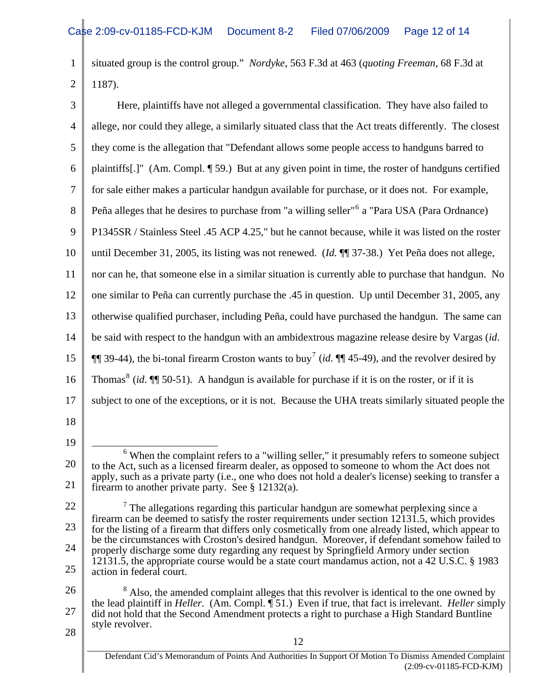1 2 situated group is the control group." *Nordyke*, 563 F.3d at 463 (*quoting Freeman*, 68 F.3d at 1187).

| 3              | Here, plaintiffs have not alleged a governmental classification. They have also failed to                                                                                                              |
|----------------|--------------------------------------------------------------------------------------------------------------------------------------------------------------------------------------------------------|
| $\overline{4}$ | allege, nor could they allege, a similarly situated class that the Act treats differently. The closest                                                                                                 |
| 5              | they come is the allegation that "Defendant allows some people access to handguns barred to                                                                                                            |
| 6              | plaintiffs[.]" (Am. Compl. ¶ 59.) But at any given point in time, the roster of handguns certified                                                                                                     |
| 7              | for sale either makes a particular handgun available for purchase, or it does not. For example,                                                                                                        |
| 8              | Peña alleges that he desires to purchase from "a willing seller" <sup>6</sup> a "Para USA (Para Ordnance)                                                                                              |
| 9              | P1345SR / Stainless Steel .45 ACP 4.25," but he cannot because, while it was listed on the roster                                                                                                      |
| 10             | until December 31, 2005, its listing was not renewed. ( <i>Id.</i> $\P$ 37-38.) Yet Peña does not allege,                                                                                              |
| 11             | nor can he, that someone else in a similar situation is currently able to purchase that handgun. No                                                                                                    |
| 12             | one similar to Peña can currently purchase the .45 in question. Up until December 31, 2005, any                                                                                                        |
| 13             | otherwise qualified purchaser, including Peña, could have purchased the handgun. The same can                                                                                                          |
| 14             | be said with respect to the handgun with an ambidextrous magazine release desire by Vargas <i>(id.</i> )                                                                                               |
| 15             | $\P$ 39-44), the bi-tonal firearm Croston wants to buy <sup>7</sup> (id. $\P$ 45-49), and the revolver desired by                                                                                      |
| 16             | Thomas <sup>8</sup> (id. $\P$ 50-51). A handgun is available for purchase if it is on the roster, or if it is                                                                                          |
| 17             | subject to one of the exceptions, or it is not. Because the UHA treats similarly situated people the                                                                                                   |
| 18             |                                                                                                                                                                                                        |
| 19             |                                                                                                                                                                                                        |
| 20             | $6$ When the complaint refers to a "willing seller," it presumably refers to someone subject<br>to the Act, such as a licensed firearm dealer, as opposed to someone to whom the Act does not          |
| 21             | apply, such as a private party (i.e., one who does not hold a dealer's license) seeking to transfer a<br>firearm to another private party. See $\S 12132(a)$ .                                         |
| 22             | $\frac{7}{7}$ The allegations regarding this particular handgun are somewhat perplexing since a                                                                                                        |
| 23             | firearm can be deemed to satisfy the roster requirements under section 12131.5, which provides<br>for the listing of a firearm that differs only cosmetically from one already listed, which appear to |
| 24             | be the circumstances with Croston's desired handgun. Moreover, if defendant somehow failed to<br>properly discharge some duty regarding any request by Springfield Armory under section                |
| 25             | 12131.5, the appropriate course would be a state court mandamus action, not a 42 U.S.C. § 1983<br>action in federal court.                                                                             |

<span id="page-11-2"></span><span id="page-11-1"></span><span id="page-11-0"></span>26 27  $8$  Also, the amended complaint alleges that this revolver is identical to the one owned by the lead plaintiff in *Heller*. (Am. Compl. ¶ 51.) Even if true, that fact is irrelevant. *Heller* simply did not hold that the Second Amendment protects a right to purchase a High Standard Buntline style revolver.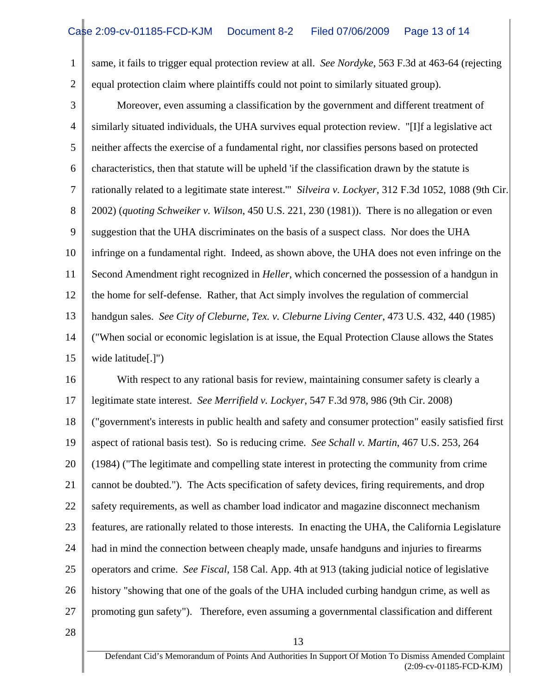1 2 same, it fails to trigger equal protection review at all. *See Nordyke*, 563 F.3d at 463-64 (rejecting equal protection claim where plaintiffs could not point to similarly situated group).

3 4 5 6 7 8 9 10 11 12 13 14 15 Moreover, even assuming a classification by the government and different treatment of similarly situated individuals, the UHA survives equal protection review. "[I]f a legislative act neither affects the exercise of a fundamental right, nor classifies persons based on protected characteristics, then that statute will be upheld 'if the classification drawn by the statute is rationally related to a legitimate state interest.'" *Silveira v. Lockyer*, 312 F.3d 1052, 1088 (9th Cir. 2002) (*quoting Schweiker v. Wilson*, 450 U.S. 221, 230 (1981)). There is no allegation or even suggestion that the UHA discriminates on the basis of a suspect class. Nor does the UHA infringe on a fundamental right. Indeed, as shown above, the UHA does not even infringe on the Second Amendment right recognized in *Heller*, which concerned the possession of a handgun in the home for self-defense. Rather, that Act simply involves the regulation of commercial handgun sales. *See City of Cleburne, Tex. v. Cleburne Living Center*, 473 U.S. 432, 440 (1985) ("When social or economic legislation is at issue, the Equal Protection Clause allows the States wide latitude[.]")

16 17 18 19 20 21 22 23 24 25 26 27 With respect to any rational basis for review, maintaining consumer safety is clearly a legitimate state interest. *See Merrifield v. Lockyer*, 547 F.3d 978, 986 (9th Cir. 2008) ("government's interests in public health and safety and consumer protection" easily satisfied first aspect of rational basis test). So is reducing crime. *See Schall v. Martin*, 467 U.S. 253, 264 (1984) ("The legitimate and compelling state interest in protecting the community from crime cannot be doubted."). The Acts specification of safety devices, firing requirements, and drop safety requirements, as well as chamber load indicator and magazine disconnect mechanism features, are rationally related to those interests. In enacting the UHA, the California Legislature had in mind the connection between cheaply made, unsafe handguns and injuries to firearms operators and crime. *See Fiscal,* 158 Cal. App. 4th at 913 (taking judicial notice of legislative history "showing that one of the goals of the UHA included curbing handgun crime, as well as promoting gun safety"). Therefore, even assuming a governmental classification and different